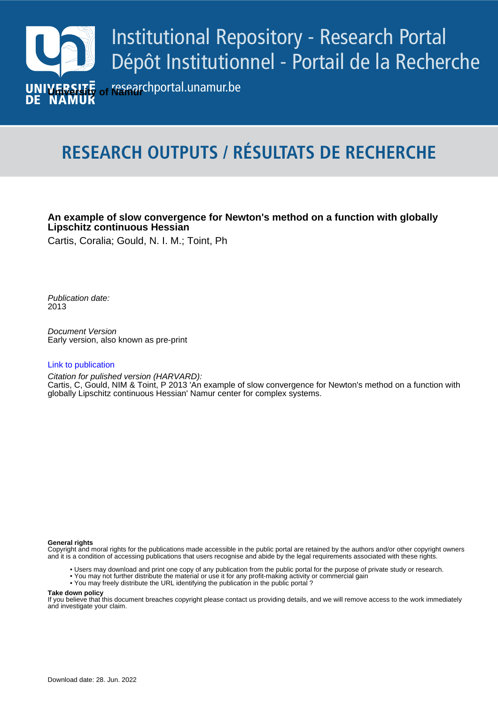

# **RESEARCH OUTPUTS / RÉSULTATS DE RECHERCHE**

# **An example of slow convergence for Newton's method on a function with globally Lipschitz continuous Hessian**

Cartis, Coralia; Gould, N. I. M.; Toint, Ph

Publication date: 2013

> Document Version Early version, also known as pre-print

# **Publication :**

Citation for pulished version (HARVARD): Cartis, C, Gould, NIM & Toint, P 2013 'An example of slow convergence for Newton's method on a function with globally Lipschitz continuous Hessian' Namur center for complex systems.

#### **General rights**

Copyright and moral rights for the publications made accessible in the public portal are retained by the authors and/or other copyright owners and it is a condition of accessing publications that users recognise and abide by the legal requirements associated with these rights.

- Users may download and print one copy of any publication from the public portal for the purpose of private study or research.
- You may not further distribute the material or use it for any profit-making activity or commercial gain
- You may freely distribute the URL identifying the publication in the public portal ?

#### **Take down policy**

If you believe that this document breaches copyright please contact us providing details, and we will remove access to the work immediately and investigate your claim.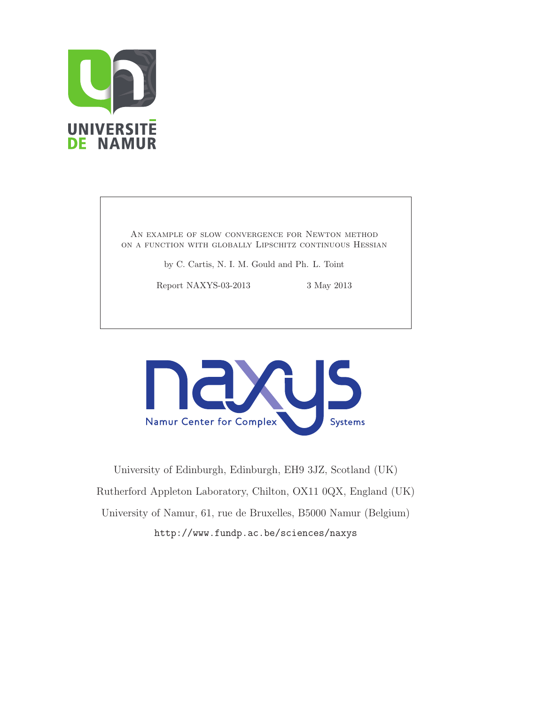

AN EXAMPLE OF SLOW CONVERGENCE FOR NEWTON METHOD on a function with globally Lipschitz continuous Hessian

by C. Cartis, N. I. M. Gould and Ph. L. Toint

Report NAXYS-03-2013 3 May 2013



University of Edinburgh, Edinburgh, EH9 3JZ, Scotland (UK) Rutherford Appleton Laboratory, Chilton, OX11 0QX, England (UK) University of Namur, 61, rue de Bruxelles, B5000 Namur (Belgium) http://www.fundp.ac.be/sciences/naxys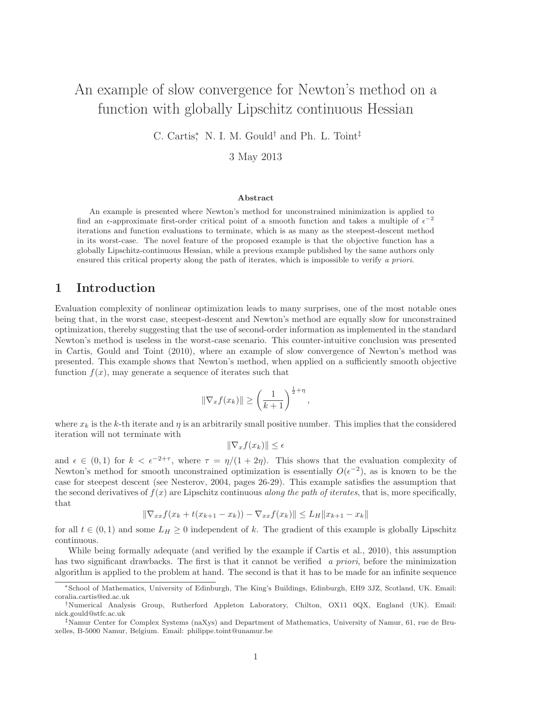# An example of slow convergence for Newton's method on a function with globally Lipschitz continuous Hessian

C. Cartis<sup>\*</sup>, N. I. M. Gould<sup>†</sup> and Ph. L. Toint<sup>‡</sup>

3 May 2013

#### Abstract

An example is presented where Newton's method for unconstrained minimization is applied to find an  $\epsilon$ -approximate first-order critical point of a smooth function and takes a multiple of  $\epsilon^{-2}$ iterations and function evaluations to terminate, which is as many as the steepest-descent method in its worst-case. The novel feature of the proposed example is that the objective function has a globally Lipschitz-continuous Hessian, while a previous example published by the same authors only ensured this critical property along the path of iterates, which is impossible to verify a priori.

# 1 Introduction

Evaluation complexity of nonlinear optimization leads to many surprises, one of the most notable ones being that, in the worst case, steepest-descent and Newton's method are equally slow for unconstrained optimization, thereby suggesting that the use of second-order information as implemented in the standard Newton's method is useless in the worst-case scenario. This counter-intuitive conclusion was presented in Cartis, Gould and Toint (2010), where an example of slow convergence of Newton's method was presented. This example shows that Newton's method, when applied on a sufficiently smooth objective function  $f(x)$ , may generate a sequence of iterates such that

$$
\|\nabla_x f(x_k)\| \ge \left(\frac{1}{k+1}\right)^{\frac{1}{2}+\eta},
$$

where  $x_k$  is the k-th iterate and  $\eta$  is an arbitrarily small positive number. This implies that the considered iteration will not terminate with

$$
\|\nabla_x f(x_k)\| \le \epsilon
$$

and  $\epsilon \in (0,1)$  for  $k < \epsilon^{-2+\tau}$ , where  $\tau = \eta/(1+2\eta)$ . This shows that the evaluation complexity of Newton's method for smooth unconstrained optimization is essentially  $O(\epsilon^{-2})$ , as is known to be the case for steepest descent (see Nesterov, 2004, pages 26-29). This example satisfies the assumption that the second derivatives of  $f(x)$  are Lipschitz continuous *along the path of iterates*, that is, more specifically, that

$$
\|\nabla_{xx} f(x_k + t(x_{k+1} - x_k)) - \nabla_{xx} f(x_k)\| \le L_H \|x_{k+1} - x_k\|
$$

for all  $t \in (0,1)$  and some  $L_H \geq 0$  independent of k. The gradient of this example is globally Lipschitz continuous.

While being formally adequate (and verified by the example if Cartis et al., 2010), this assumption has two significant drawbacks. The first is that it cannot be verified a priori, before the minimization algorithm is applied to the problem at hand. The second is that it has to be made for an infinite sequence

<sup>∗</sup>School of Mathematics, University of Edinburgh, The King's Buildings, Edinburgh, EH9 3JZ, Scotland, UK. Email: coralia.cartis@ed.ac.uk

<sup>†</sup>Numerical Analysis Group, Rutherford Appleton Laboratory, Chilton, OX11 0QX, England (UK). Email: nick.gould@stfc.ac.uk

<sup>‡</sup>Namur Center for Complex Systems (naXys) and Department of Mathematics, University of Namur, 61, rue de Bruxelles, B-5000 Namur, Belgium. Email: philippe.toint@unamur.be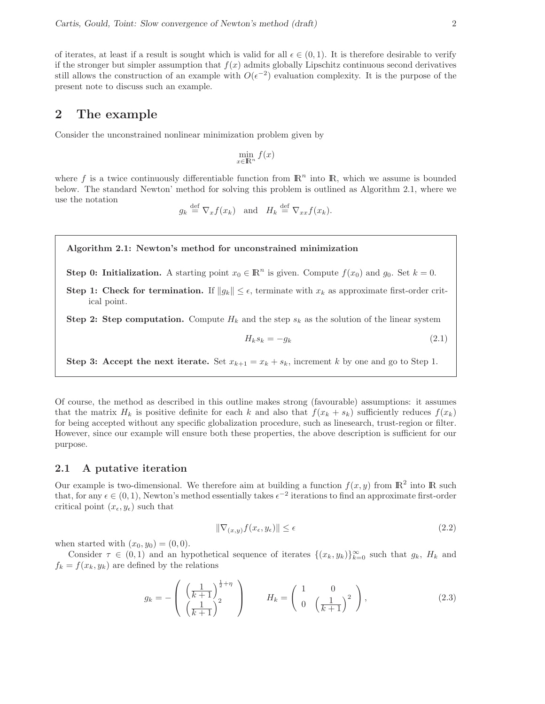of iterates, at least if a result is sought which is valid for all  $\epsilon \in (0,1)$ . It is therefore desirable to verify if the stronger but simpler assumption that  $f(x)$  admits globally Lipschitz continuous second derivatives still allows the construction of an example with  $O(\epsilon^{-2})$  evaluation complexity. It is the purpose of the present note to discuss such an example.

#### 2 The example

Consider the unconstrained nonlinear minimization problem given by

$$
\min_{x \in \mathbb{R}^n} f(x)
$$

where f is a twice continuously differentiable function from  $\mathbb{R}^n$  into  $\mathbb{R}$ , which we assume is bounded below. The standard Newton' method for solving this problem is outlined as Algorithm 2.1, where we use the notation

 $g_k \stackrel{\text{def}}{=} \nabla_x f(x_k)$  and  $H_k \stackrel{\text{def}}{=} \nabla_{xx} f(x_k)$ .

#### Algorithm 2.1: Newton's method for unconstrained minimization

**Step 0: Initialization.** A starting point  $x_0 \in \mathbb{R}^n$  is given. Compute  $f(x_0)$  and  $g_0$ . Set  $k = 0$ .

Step 1: Check for termination. If  $||g_k|| \leq \epsilon$ , terminate with  $x_k$  as approximate first-order critical point.

**Step 2: Step computation.** Compute  $H_k$  and the step  $s_k$  as the solution of the linear system

$$
H_k s_k = -g_k \tag{2.1}
$$

**Step 3: Accept the next iterate.** Set  $x_{k+1} = x_k + s_k$ , increment k by one and go to Step 1.

Of course, the method as described in this outline makes strong (favourable) assumptions: it assumes that the matrix  $H_k$  is positive definite for each k and also that  $f(x_k + s_k)$  sufficiently reduces  $f(x_k)$ for being accepted without any specific globalization procedure, such as linesearch, trust-region or filter. However, since our example will ensure both these properties, the above description is sufficient for our purpose.

#### 2.1 A putative iteration

Our example is two-dimensional. We therefore aim at building a function  $f(x, y)$  from  $\mathbb{R}^2$  into  $\mathbb R$  such that, for any  $\epsilon \in (0, 1)$ , Newton's method essentially takes  $\epsilon^{-2}$  iterations to find an approximate first-order critical point  $(x_{\epsilon},y_{\epsilon})$  such that

$$
\|\nabla_{(x,y)} f(x_{\epsilon}, y_{\epsilon})\| \le \epsilon \tag{2.2}
$$

when started with  $(x_0, y_0) = (0, 0)$ .

Consider  $\tau \in (0,1)$  and an hypothetical sequence of iterates  $\{(x_k,y_k)\}_{k=0}^{\infty}$  such that  $g_k$ ,  $H_k$  and  $f_k = f(x_k, y_k)$  are defined by the relations

$$
g_k = -\left(\begin{array}{c} \left(\frac{1}{k+1}\right)^{\frac{1}{2}+\eta} \\ \left(\frac{1}{k+1}\right)^2 \end{array}\right) \qquad H_k = \left(\begin{array}{cc} 1 & 0 \\ 0 & \left(\frac{1}{k+1}\right)^2 \end{array}\right),\tag{2.3}
$$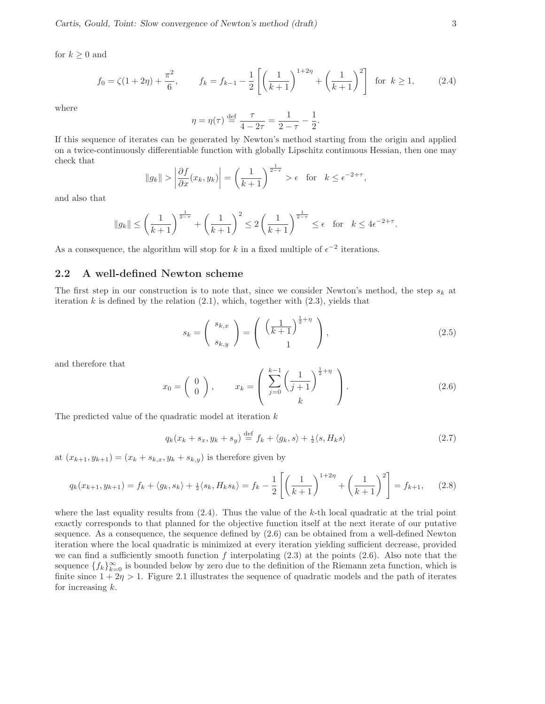for  $k \geq 0$  and

$$
f_0 = \zeta(1+2\eta) + \frac{\pi^2}{6}, \qquad f_k = f_{k-1} - \frac{1}{2} \left[ \left( \frac{1}{k+1} \right)^{1+2\eta} + \left( \frac{1}{k+1} \right)^2 \right] \text{ for } k \ge 1,
$$
 (2.4)

where

$$
\eta = \eta(\tau) \stackrel{\text{def}}{=} \frac{\tau}{4 - 2\tau} = \frac{1}{2 - \tau} - \frac{1}{2}.
$$

If this sequence of iterates can be generated by Newton's method starting from the origin and applied on a twice-continuously differentiable function with globally Lipschitz continuous Hessian, then one may check that

$$
||g_k|| > \left| \frac{\partial f}{\partial x}(x_k, y_k) \right| = \left( \frac{1}{k+1} \right)^{\frac{1}{2-\tau}} > \epsilon \text{ for } k \leq \epsilon^{-2+\tau},
$$

and also that

$$
||g_k|| \le \left(\frac{1}{k+1}\right)^{\frac{1}{2-\tau}} + \left(\frac{1}{k+1}\right)^2 \le 2\left(\frac{1}{k+1}\right)^{\frac{1}{2-\tau}} \le \epsilon \quad \text{for} \quad k \le 4\epsilon^{-2+\tau}.
$$

As a consequence, the algorithm will stop for k in a fixed multiple of  $\epsilon^{-2}$  iterations.

#### 2.2 A well-defined Newton scheme

The first step in our construction is to note that, since we consider Newton's method, the step  $s_k$  at iteration k is defined by the relation  $(2.1)$ , which, together with  $(2.3)$ , yields that

$$
s_k = \left(\begin{array}{c} s_{k,x} \\ s_{k,y} \end{array}\right) = \left(\begin{array}{c} \left(\frac{1}{k+1}\right)^{\frac{1}{2}+\eta} \\ 1 \end{array}\right),\tag{2.5}
$$

and therefore that

$$
x_0 = \begin{pmatrix} 0 \\ 0 \end{pmatrix}, \qquad x_k = \begin{pmatrix} \sum_{j=0}^{k-1} \left( \frac{1}{j+1} \right)^{\frac{1}{2}+\eta} \\ k \end{pmatrix}.
$$
 (2.6)

The predicted value of the quadratic model at iteration  $k$ 

$$
q_k(x_k + s_x, y_k + s_y) \stackrel{\text{def}}{=} f_k + \langle g_k, s \rangle + \frac{1}{2} \langle s, H_k s \rangle \tag{2.7}
$$

at  $(x_{k+1}, y_{k+1}) = (x_k + s_{k,x}, y_k + s_{k,y})$  is therefore given by

$$
q_k(x_{k+1}, y_{k+1}) = f_k + \langle g_k, s_k \rangle + \frac{1}{2} \langle s_k, H_k s_k \rangle = f_k - \frac{1}{2} \left[ \left( \frac{1}{k+1} \right)^{1+2\eta} + \left( \frac{1}{k+1} \right)^2 \right] = f_{k+1}, \quad (2.8)
$$

where the last equality results from  $(2.4)$ . Thus the value of the k-th local quadratic at the trial point exactly corresponds to that planned for the objective function itself at the next iterate of our putative sequence. As a consequence, the sequence defined by (2.6) can be obtained from a well-defined Newton iteration where the local quadratic is minimized at every iteration yielding sufficient decrease, provided we can find a sufficiently smooth function f interpolating  $(2.3)$  at the points  $(2.6)$ . Also note that the sequence  ${f_k}_{k=0}^{\infty}$  is bounded below by zero due to the definition of the Riemann zeta function, which is finite since  $1 + 2\eta > 1$ . Figure 2.1 illustrates the sequence of quadratic models and the path of iterates for increasing  $k$ .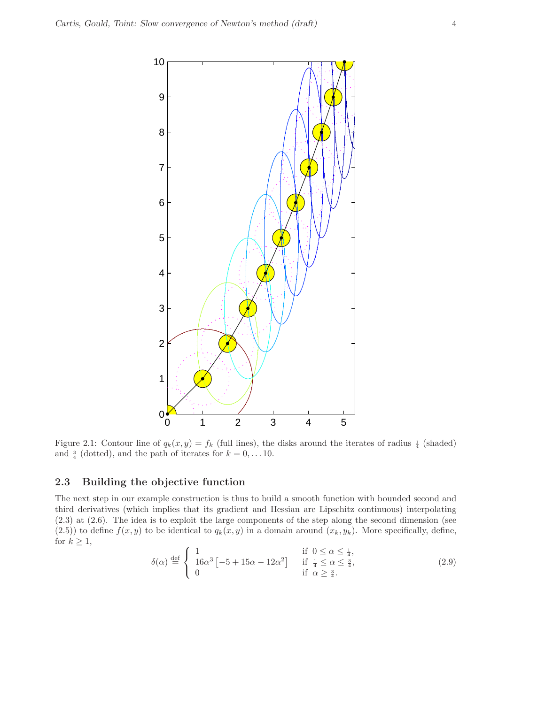

Figure 2.1: Contour line of  $q_k(x, y) = f_k$  (full lines), the disks around the iterates of radius  $\frac{1}{4}$  (shaded) and  $\frac{3}{4}$  (dotted), and the path of iterates for  $k = 0, \ldots 10$ .

#### 2.3 Building the objective function

The next step in our example construction is thus to build a smooth function with bounded second and third derivatives (which implies that its gradient and Hessian are Lipschitz continuous) interpolating (2.3) at (2.6). The idea is to exploit the large components of the step along the second dimension (see (2.5)) to define  $f(x,y)$  to be identical to  $q_k(x,y)$  in a domain around  $(x_k,y_k)$ . More specifically, define, for  $k \geq 1$ ,

$$
\delta(\alpha) \stackrel{\text{def}}{=} \begin{cases} 1 & \text{if } 0 \le \alpha \le \frac{1}{4}, \\ 16\alpha^3 \left[ -5 + 15\alpha - 12\alpha^2 \right] & \text{if } \frac{1}{4} \le \alpha \le \frac{3}{4}, \\ 0 & \text{if } \alpha \ge \frac{3}{4}. \end{cases} \tag{2.9}
$$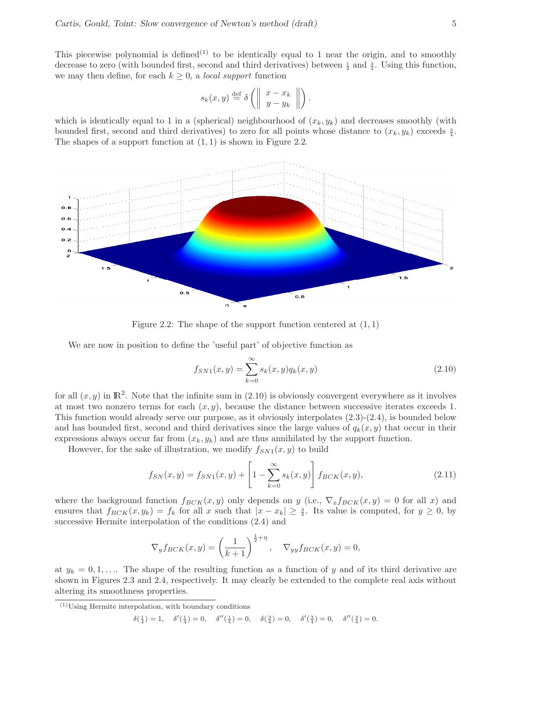This piecewise polynomial is defined<sup>(1)</sup> to be identically equal to 1 near the origin, and to smoothly decrease to zero (with bounded first, second and third derivatives) between  $\frac{1}{4}$  and  $\frac{3}{4}$ . Using this function, we may then define, for each  $k \geq 0$ , a *local support* function

$$
s_k(x,y) \stackrel{\text{def}}{=} \delta \left( \left\| \begin{array}{c} x - x_k \\ y - y_k \end{array} \right\| \right).
$$

which is identically equal to 1 in a (spherical) neighbourhood of  $(x_k, y_k)$  and decreases smoothly (with bounded first, second and third derivatives) to zero for all points whose distance to  $(x_k, y_k)$  exceeds  $\frac{3}{4}$ . The shapes of a support function at  $(1, 1)$  is shown in Figure 2.2.



Figure 2.2: The shape of the support function centered at  $(1, 1)$ 

We are now in position to define the 'useful part' of objective function as

$$
f_{SN1}(x,y) = \sum_{k=0}^{\infty} s_k(x,y) q_k(x,y)
$$
\n(2.10)

for all  $(x, y)$  in  $\mathbb{R}^2$ . Note that the infinite sum in (2.10) is obviously convergent everywhere as it involves at most two nonzero terms for each  $(x, y)$ , because the distance between successive iterates exceeds 1. This function would already serve our purpose, as it obviously interpolates (2.3)-(2.4), is bounded below and has bounded first, second and third derivatives since the large values of  $q_k(x, y)$  that occur in their expressions always occur far from  $(x_k, y_k)$  and are thus annihilated by the support function.

However, for the sake of illustration, we modify  $f_{SN1}(x,y)$  to build

$$
f_{SN}(x,y) = f_{SN1}(x,y) + \left[1 - \sum_{k=0}^{\infty} s_k(x,y)\right] f_{BCK}(x,y),
$$
\n(2.11)

where the background function  $f_{BCK}(x,y)$  only depends on y (i.e.,  $\nabla_x f_{BCK}(x,y) = 0$  for all x) and ensures that  $f_{BCK}(x,y_k) = f_k$  for all x such that  $|x - x_k| \geq \frac{3}{4}$ . Its value is computed, for  $y \geq 0$ , by successive Hermite interpolation of the conditions (2.4) and

$$
\nabla_y f_{BCK}(x, y) = \left(\frac{1}{k+1}\right)^{\frac{1}{2} + \eta}, \quad \nabla_{yy} f_{BCK}(x, y) = 0,
$$

at  $y_k = 0, 1, \ldots$  The shape of the resulting function as a function of y and of its third derivative are shown in Figures 2.3 and 2.4, respectively. It may clearly be extended to the complete real axis without altering its smoothness properties.

$$
\delta(\frac{1}{4}) = 1, \quad \delta'(\frac{1}{4}) = 0, \quad \delta''(\frac{1}{4}) = 0, \quad \delta(\frac{3}{4}) = 0, \quad \delta'(\frac{3}{4}) = 0, \quad \delta''(\frac{3}{4}) = 0.
$$

 $(1)$ Using Hermite interpolation, with boundary conditions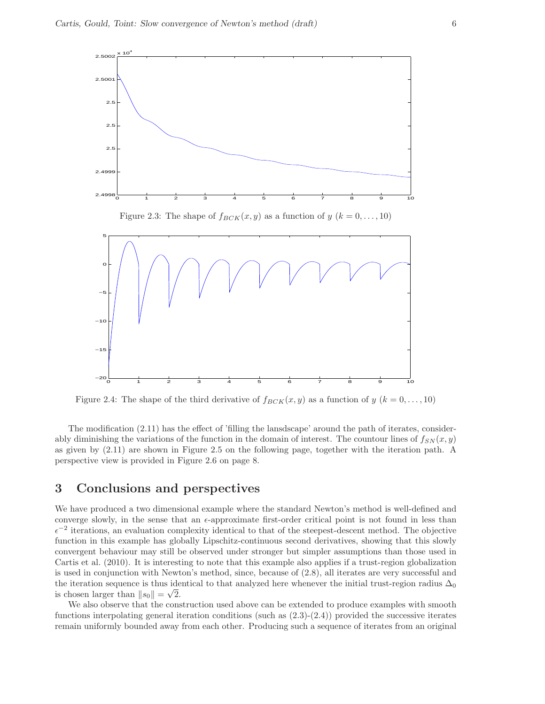

Figure 2.3: The shape of  $f_{BCK}(x,y)$  as a function of  $y$   $(k = 0, \ldots, 10)$ 



Figure 2.4: The shape of the third derivative of  $f_{BCK}(x,y)$  as a function of  $y$   $(k = 0, \ldots, 10)$ 

The modification (2.11) has the effect of 'filling the lansdscape' around the path of iterates, considerably diminishing the variations of the function in the domain of interest. The countour lines of  $f_{SN}(x,y)$ as given by (2.11) are shown in Figure 2.5 on the following page, together with the iteration path. A perspective view is provided in Figure 2.6 on page 8.

# 3 Conclusions and perspectives

We have produced a two dimensional example where the standard Newton's method is well-defined and converge slowly, in the sense that an  $\epsilon$ -approximate first-order critical point is not found in less than  $\epsilon^{-2}$  iterations, an evaluation complexity identical to that of the steepest-descent method. The objective function in this example has globally Lipschitz-continuous second derivatives, showing that this slowly convergent behaviour may still be observed under stronger but simpler assumptions than those used in Cartis et al. (2010). It is interesting to note that this example also applies if a trust-region globalization is used in conjunction with Newton's method, since, because of (2.8), all iterates are very successful and the iteration sequence is thus identical to that analyzed here whenever the initial trust-region radius  $\Delta_0$ is chosen larger than  $||s_0|| = \sqrt{2}$ .

We also observe that the construction used above can be extended to produce examples with smooth functions interpolating general iteration conditions (such as  $(2.3)-(2.4)$ ) provided the successive iterates remain uniformly bounded away from each other. Producing such a sequence of iterates from an original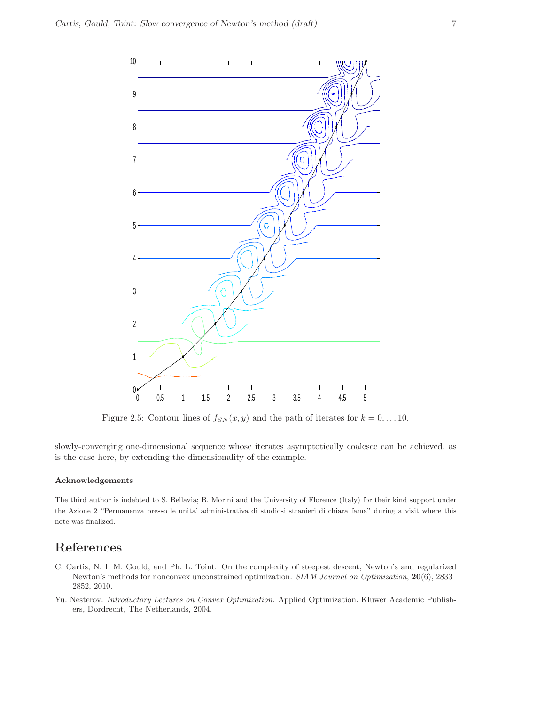

Figure 2.5: Contour lines of  $f_{SN}(x, y)$  and the path of iterates for  $k = 0, \ldots 10$ .

slowly-converging one-dimensional sequence whose iterates asymptotically coalesce can be achieved, as is the case here, by extending the dimensionality of the example.

#### Acknowledgements

The third author is indebted to S. Bellavia; B. Morini and the University of Florence (Italy) for their kind support under the Azione 2 "Permanenza presso le unita' administrativa di studiosi stranieri di chiara fama" during a visit where this note was finalized.

# References

- C. Cartis, N. I. M. Gould, and Ph. L. Toint. On the complexity of steepest descent, Newton's and regularized Newton's methods for nonconvex unconstrained optimization. SIAM Journal on Optimization, 20(6), 2833– 2852, 2010.
- Yu. Nesterov. Introductory Lectures on Convex Optimization. Applied Optimization. Kluwer Academic Publishers, Dordrecht, The Netherlands, 2004.